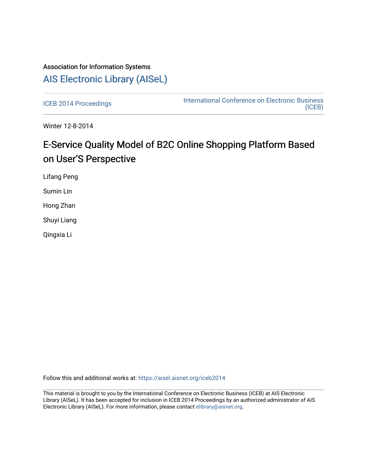# Association for Information Systems [AIS Electronic Library \(AISeL\)](https://aisel.aisnet.org/)

[ICEB 2014 Proceedings](https://aisel.aisnet.org/iceb2014) **International Conference on Electronic Business** [\(ICEB\)](https://aisel.aisnet.org/iceb) 

Winter 12-8-2014

# E-Service Quality Model of B2C Online Shopping Platform Based on User'S Perspective

Lifang Peng

Sumin Lin

Hong Zhan

Shuyi Liang

Qingxia Li

Follow this and additional works at: [https://aisel.aisnet.org/iceb2014](https://aisel.aisnet.org/iceb2014?utm_source=aisel.aisnet.org%2Ficeb2014%2F44&utm_medium=PDF&utm_campaign=PDFCoverPages)

This material is brought to you by the International Conference on Electronic Business (ICEB) at AIS Electronic Library (AISeL). It has been accepted for inclusion in ICEB 2014 Proceedings by an authorized administrator of AIS Electronic Library (AISeL). For more information, please contact [elibrary@aisnet.org.](mailto:elibrary@aisnet.org%3E)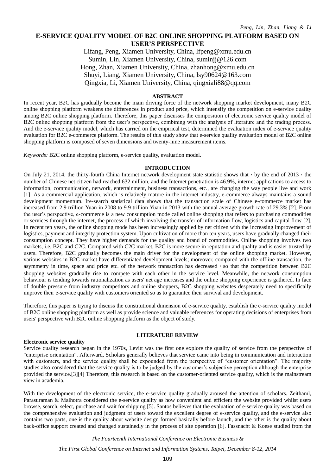# **E-SERVICE QUALITY MODEL OF B2C ONLINE SHOPPING PLATFORM BASED ON USER'S PERSPECTIVE**

Lifang, Peng, Xiamen University, China, lfpeng@xmu.edu.cn Sumin, Lin, Xiamen University, China, suminjj@126.com Hong, Zhan, Xiamen University, China, zhanhong@xmu.edu.cn Shuyi, Liang, Xiamen University, China, lsy90624@163.com Qingxia, Li, Xiamen University, China, qingxiali88@qq.com

#### **ABSTRACT**

In recent year, B2C has gradually become the main driving force of the network shopping market development, many B2C online shopping platform weakens the differences in product and price, which intensify the competition on e-service quality among B2C online shopping platform. Therefore, this paper discusses the composition of electronic service quality model of B2C online shopping platform from the user's perspective, combining with the analysis of literature and the trading process. And the e-service quality model, which has carried on the empirical test, determined the evaluation index of e-service quality evaluation for B2C e-commerce platform. The results of this study show that e-service quality evaluation model of B2C online shopping platform is composed of seven dimensions and twenty-nine measurement items.

*Keywords:* B2C online shopping platform, e-service quality, evaluation model.

#### **INTRODUCTION**

On July 21, 2014, the thirty-fourth China Internet network development state statistic shows that, by the end of 2013, number of Chinese net citizen had reached 632 million, and the Internet penetration is 46.9%, internet applications to access to information, communication, network, entertainment, business transactions, etc., are changing the way people live and work [1]. As a commercial application, which is relatively mature in the internet industry, e-commerce always maintains a sound development momentum. Ire-search statistical data shows that the transaction scale of Chinese e-commerce market has increased from 2.9 trillion Yuan in 2008 to 9.9 trillion Yuan in 2013 with the annual average growth rate of 29.3% [2]. From the user's perspective, e-commerce is a new consumption mode called online shopping that refers to purchasing commodities or services through the internet, the process of which involving the transfer of information flow, logistics and capital flow [2]. In recent ten years, the online shopping mode has been increasingly applied by net citizen with the increasing improvement of logistics, payment and integrity protection system. Upon cultivation of more than ten years, users have gradually changed their consumption concept. They have higher demands for the quality and brand of commodities. Online shopping involves two markets, i.e. B2C and C2C. Compared with C2C market, B2C is more secure in reputation and quality and is easier trusted by users. Therefore, B2C gradually becomes the main driver for the development of the online shopping market. However, various websites in B2C market have differentiated development levels; moreover, compared with the offline transaction, the asymmetry in time, space and price etc. of the network transaction has decreased, so that the competition between B2C shopping websites gradually rise to compete with each other in the service level. Meanwhile, the network consumption behaviour is tending towards rationalization as users' net age increases and the online shopping experience is gathered. In face of double pressure from industry competitors and online shoppers, B2C shopping websites desperately need to specifically improve their e-service quality with customers oriented so as to guarantee their survival and development.

Therefore, this paper is trying to discuss the constitutional dimension of e-service quality, establish the e-service quality model of B2C online shopping platform as well as provide science and valuable references for operating decisions of enterprises from users' perspective with B2C online shopping platform as the object of study.

#### **LITERATURE REVIEW**

#### **Electronic service quality**

Service quality research began in the 1970s, Levitt was the first one explore the quality of service from the perspective of "enterprise orientation". Afterward, Scholars generally believes that service came into being in communication and interaction with customers, and the service quality shall be expounded from the perspective of "customer orientation". The majority studies also considered that the service quality is to be judged by the customer's subjective perception although the enterprise provided the service.[3][4] Therefore, this research is based on the customer-oriented service quality, which is the mainstream view in academia.

With the development of the electronic service, the e-service quality gradually aroused the attention of scholars. Zeithaml, Parasuraman & Malhotra considered the e-service quality as how convenient and efficient the website provided whilst users browse, search, select, purchase and wait for shipping [5]. Santos believes that the evaluation of e-service quality was based on the comprehensive evaluation and judgment of users toward the excellent degree of e-service quality, and the e-service also contains two parts, one is the quality about website design formed basically before launch, and the other is the quality about back-office support created and changed sustainedly in the process of site operation [6]. Fassnacht & Koese studied from the

*The Fourteenth International Conference on Electronic Business &*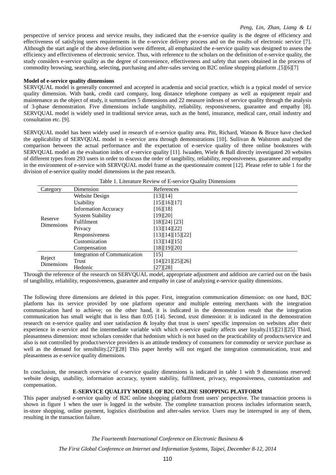perspective of service process and service results, they indicated that the e-service quality is the degree of efficiency and effectiveness of satisfying users requirements in the e-service delivery process and on the results of electronic service [7]. Although the start angle of the above definition were different, all emphasized the e-service quality was designed to assess the efficiency and effectiveness of electronic service. Thus, with reference to the scholars on the definition of e-service quality, the study considers e-service quality as the degree of convenience, effectiveness and safety that users obtained in the process of commodity browsing, searching, selecting, purchasing and after-sales serving on B2C online shopping platform .[5][6][7]

#### **Model of e-service quality dimensions**

SERVQUAL model is generally concerned and accepted in academia and social practice, which is a typical model of service quality dimension. With bank, credit card company, long distance telephone company as well as equipment repair and maintenance as the object of study, it summarizes 5 dimensions and 22 measure indexes of service quality through the analysis of 3-phase demonstration. Five dimensions include tangibility, reliability, responsiveness, guarantee and empathy [8]. SERVQUAL model is widely used in traditional service areas, such as the hotel, insurance, medical care, retail industry and consultation etc. [9].

SERVQUAL model has been widely used in research of e-service quality area. Pitt, Richard, Watson & Bruce have checked the applicability of SERVQUAL model in e-service area through demonstrations [10]. Sullivan & Walstrom analyzed the comparison between the actual performance and the expectation of e-service quality of three online bookstores with SERVQUAL model as the evaluation index of e-service quality [11]. Iwaaden, Wiele & Ball directly investigated 20 websites of different types from 293 users in order to discuss the order of tangibility, reliability, responsiveness, guarantee and empathy in the environment of e-service with SERVQUAL model frame as the questionnaire content [12]. Please refer to table 1 for the division of e-service quality model dimensions in the past research.

| Category              | Dimension                           | References       |
|-----------------------|-------------------------------------|------------------|
| Reserve<br>Dimensions | Website Design                      | [13][14]         |
|                       | Usability                           | [15][16][17]     |
|                       | <b>Information Accuracy</b>         | [16][18]         |
|                       | <b>System Stability</b>             | [19][20]         |
|                       | Fulfilment                          | [18][24] [23]    |
|                       | Privacy                             | [13][14][22]     |
|                       | Responsiveness                      | [13][14][15][22] |
|                       | Customization                       | [13][14][15]     |
|                       | Compensation                        | [18][19][20]     |
|                       | <b>Integration of Communication</b> | $[15]$           |
| Reject<br>Dimensions  | Trust                               | [14][21][25][26] |
|                       | Hedonic                             | [27][28]         |

Table 1. Literature Review of E-service Quality Dimensions

Through the reference of the research on SERVQUAL model, appropriate adjustment and addition are carried out on the basis of tangibility, reliability, responsiveness, guarantee and empathy in case of analyzing e-service quality dimensions.

The following three dimensions are deleted in this paper. First, integration communication dimension: on one hand, B2C platform has its service provided by one platform operator and multiple entering merchants with the integration communication hard to achieve; on the other hand, it is indicated in the demonstration result that the integration communication has small weight that is less than 0.05 [14]. Second, trust dimension: it is indicated in the demonstration research on e-service quality and user satisfaction & loyalty that trust is users' specific impression on websites after their experience in e-service and the intermediate variable with which e-service quality affects user loyalty.[15][21][25] Third, pleasantness dimension: most scholars consider that hedonism which is not based on the practicability of products/service and also is not controlled by product/service providers is an attitude tendency of consumers for commodity or service purchase as well as the demand for sensibility.[27][28] This paper hereby will not regard the integration communication, trust and pleasantness as e-service quality dimensions.

In conclusion, the research overview of e-service quality dimensions is indicated in table 1 with 9 dimensions reserved: website design, usability, information accuracy, system stability, fulfilment, privacy, responsiveness, customization and compensation.

### **E-SERVICE QUALITY MODEL OF B2C ONLINE SHOPPING PLATFORM**

This paper analysed e-service quality of B2C online shopping platform from users' perspective. The transaction process is shown in figure 1 when the user is logged in the website. The complete transaction process includes information search, in-store shopping, online payment, logistics distribution and after-sales service. Users may be interrupted in any of them, resulting in the transaction failure.

> *The Fourteenth International Conference on Electronic Business & The First Global Conference on Internet and Information Systems, Taipei, December 8-12, 2014*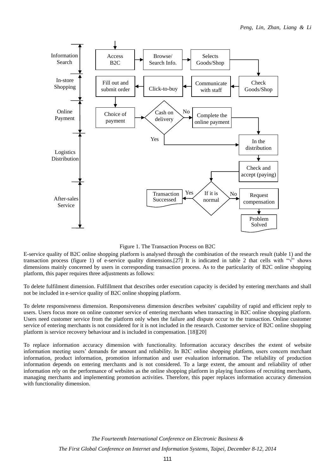

Figure 1. The Transaction Process on B2C

E-service quality of B2C online shopping platform is analysed through the combination of the research result (table 1) and the transaction process (figure 1) of e-service quality dimensions.[27] It is indicated in table 2 that cells with " $\sqrt{$ " shows dimensions mainly concerned by users in corresponding transaction process. As to the particularity of B2C online shopping platform, this paper requires three adjustments as follows:

To delete fulfilment dimension. Fulfillment that describes order execution capacity is decided by entering merchants and shall not be included in e-service quality of B2C online shopping platform.

To delete responsiveness dimension. Responsiveness dimension describes websites' capability of rapid and efficient reply to users. Users focus more on online customer service of entering merchants when transacting in B2C online shopping platform. Users need customer service from the platform only when the failure and dispute occur to the transaction. Online customer service of entering merchants is not considered for it is not included in the research. Customer service of B2C online shopping platform is service recovery behaviour and is included in compensation. [18][20]

To replace information accuracy dimension with functionality. Information accuracy describes the extent of website information meeting users' demands for amount and reliability. In B2C online shopping platform, users concern merchant information, product information, promotion information and user evaluation information. The reliability of production information depends on entering merchants and is not considered. To a large extent, the amount and reliability of other information rely on the performance of websites as the online shopping platform in playing functions of recruiting merchants, managing merchants and implementing promotion activities. Therefore, this paper replaces information accuracy dimension with functionality dimension.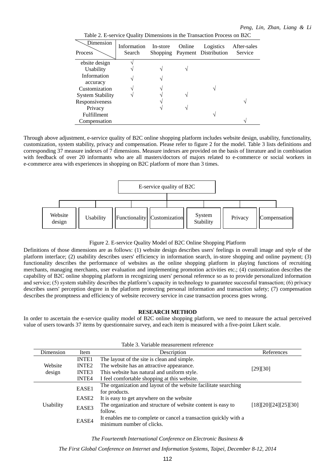Table 2. E-service Quality Dimensions in the Transaction Process on B2C

| Dimension<br><b>Process</b> | Information<br>Search | In-store | Online | Logistics<br>Shopping Payment Distribution | After-sales<br>Service |
|-----------------------------|-----------------------|----------|--------|--------------------------------------------|------------------------|
| ebsite design               |                       |          |        |                                            |                        |
| Usability                   |                       |          |        |                                            |                        |
| Information                 |                       |          |        |                                            |                        |
| accuracy                    |                       |          |        |                                            |                        |
| Customization               |                       |          |        |                                            |                        |
| <b>System Stability</b>     |                       |          |        |                                            |                        |
| Responsiveness              |                       |          |        |                                            |                        |
| Privacy                     |                       |          |        |                                            |                        |
| <b>Fulfillment</b>          |                       |          |        |                                            |                        |
| Compensation                |                       |          |        |                                            |                        |

Through above adjustment, e-service quality of B2C online shopping platform includes website design, usability, functionality, customization, system stability, privacy and compensation. Please refer to figure 2 for the model. Table 3 lists definitions and corresponding 37 measure indexes of 7 dimensions. Measure indexes are provided on the basis of literature and in combination with feedback of over 20 informants who are all masters/doctors of majors related to e-commerce or social workers in e-commerce area with experiences in shopping on B2C platform of more than 3 times.



Figure 2. E-service Quality Model of B2C Online Shopping Platform

Definitions of those dimensions are as follows: (1) website design describes users' feelings in overall image and style of the platform interface; (2) usability describes users' efficiency in information search, in-store shopping and online payment; (3) functionality describes the performance of websites as the online shopping platform in playing functions of recruiting merchants, managing merchants, user evaluation and implementing promotion activities etc.; (4) customization describes the capability of B2C online shopping platform in recognizing users' personal reference so as to provide personalized information and service; (5) system stability describes the platform's capacity in technology to guarantee successful transaction; (6) privacy describes users' perception degree in the platform protecting personal information and transaction safety; (7) compensation describes the promptness and efficiency of website recovery service in case transaction process goes wrong.

#### **RESEARCH METHOD**

In order to ascertain the e-service quality model of B2C online shopping platform, we need to measure the actual perceived value of users towards 37 items by questionnaire survey, and each item is measured with a five-point Likert scale.

| Table 3. Variable measurement reference |                   |                                                                  |                      |  |  |  |
|-----------------------------------------|-------------------|------------------------------------------------------------------|----------------------|--|--|--|
| Dimension                               | Item              | Description                                                      | References           |  |  |  |
| Website<br>design                       | <b>INTE1</b>      | The layout of the site is clean and simple.                      |                      |  |  |  |
|                                         | <b>INTE2</b>      | The website has an attractive appearance.                        | [29][30]             |  |  |  |
|                                         | <b>INTE3</b>      | This website has natural and uniform style.                      |                      |  |  |  |
|                                         | <b>INTE4</b>      | I feel comfortable shopping at this website.                     |                      |  |  |  |
|                                         | EASE1             | The organization and layout of the website facilitate searching  |                      |  |  |  |
|                                         |                   | for products.                                                    |                      |  |  |  |
|                                         | EASE <sub>2</sub> | It is easy to get anywhere on the website                        |                      |  |  |  |
| <b>Usability</b>                        | EASE3             | The organization and structure of website content is easy to     | [18][20][24][25][30] |  |  |  |
|                                         |                   | follow.                                                          |                      |  |  |  |
|                                         | EASE4             | It enables me to complete or cancel a transaction quickly with a |                      |  |  |  |
|                                         |                   | minimum number of clicks.                                        |                      |  |  |  |

*The Fourteenth International Conference on Electronic Business &*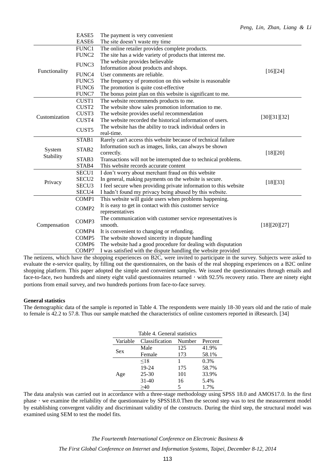|               | EASE5             | The payment is very convenient                                   |              |
|---------------|-------------------|------------------------------------------------------------------|--------------|
|               | EASE6             | The site doesn't waste my time                                   |              |
|               | FUNC1             | The online retailer provides complete products.                  |              |
|               | FUNC <sub>2</sub> | The site has a wide variety of products that interest me.        |              |
|               | FUNC3             | The website provides believable                                  |              |
| Functionality |                   | Information about products and shops.                            | [16][24]     |
|               | FUNC4             | User comments are reliable.                                      |              |
|               | FUNC5             | The frequency of promotion on this website is reasonable         |              |
|               | FUNC <sub>6</sub> | The promotion is quite cost-effective                            |              |
|               | FUNC7             | The bonus point plan on this website is significant to me.       |              |
|               | CUST1             | The website recommends products to me.                           |              |
|               | CUST <sub>2</sub> | The website show sales promotion information to me.              |              |
| Customization | CUST3             | The website provides useful recommendation                       | [30][31][32] |
|               | CUST4             | The website recorded the historical information of users.        |              |
|               | CUST <sub>5</sub> | The website has the ability to track individual orders in        |              |
|               |                   | real-time.                                                       |              |
|               | STAB1             | Rarely can't access this website because of technical failure    |              |
| System        | STAB <sub>2</sub> | Information such as images, links, can always be shown           |              |
| Stability     |                   | correctly.                                                       | [18][20]     |
|               | STAB3             | Transactions will not be interrupted due to technical problems.  |              |
|               | STAB4             | This website records accurate content                            |              |
|               | SECU1             | I don't worry about merchant fraud on this website               |              |
| Privacy       | SECU <sub>2</sub> | In general, making payments on the website is secure.            | [18][33]     |
|               | SECU <sub>3</sub> | I feel secure when providing private information to this website |              |
|               | SECU <sub>4</sub> | I hadn't found my privacy being abused by this website.          |              |
|               | COMP1             | This website will guide users when problems happening.           |              |
|               | COMP2             | It is easy to get in contact with this customer service          |              |
|               |                   | representatives                                                  |              |
|               | COMP <sub>3</sub> | The communication with customer service representatives is       |              |
| Compensation  |                   | smooth.                                                          | [18][20][27] |
|               | COMP4             | It is convenient to changing or refunding.                       |              |
|               | COMP <sub>5</sub> | The website showed sincerity in dispute handling                 |              |
|               | COMP <sub>6</sub> | The website had a good procedure for dealing with disputation    |              |
|               | COMP7             | I was satisfied with the dispute handling the website provided   |              |

The netizens, which have the shopping experiences on B2C, were invited to participate in the survey. Subjects were asked to evaluate the e-service quality, by filling out the questionnaires, on the basis of the real shopping experiences on a B2C online shopping platform. This paper adopted the simple and convenient samples. We issued the questionnaires through emails and face-to-face, two hundreds and ninety eight valid questionnaires returned, with  $92.5\%$  recovery ratio. There are ninety eight portions from email survey, and two hundreds portions from face-to-face survey.

## **General statistics**

The demographic data of the sample is reported in Table 4. The respondents were mainly 18-30 years old and the ratio of male to female is 42.2 to 57.8. Thus our sample matched the characteristics of online customers reported in iResearch. [34]

| Table 4. General statistics |                |        |         |  |  |  |
|-----------------------------|----------------|--------|---------|--|--|--|
| Variable                    | Classification | Number | Percent |  |  |  |
| Sex                         | Male           | 125    | 41.9%   |  |  |  |
|                             | Female         | 173    | 58.1%   |  |  |  |
|                             | < 18           |        | 0.3%    |  |  |  |
|                             | 19-24          | 175    | 58.7%   |  |  |  |
| Age                         | 25-30          | 101    | 33.9%   |  |  |  |
|                             | $31 - 40$      | 16     | 5.4%    |  |  |  |
|                             | >40            | 5      | 1.7%    |  |  |  |

The data analysis was carried out in accordance with a three-stage methodology using SPSS 18.0 and AMOS17.0. In the first phase, we examine the reliability of the questionnaire by SPSS18.0.Then the second step was to test the measurement model by establishing convergent validity and discriminant validity of the constructs. During the third step, the structural model was examined using SEM to test the model fits.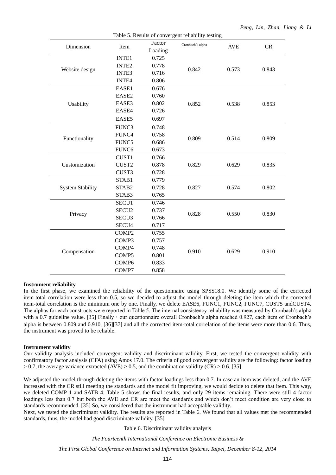| Table 5. Results of convergent reliability testing |                   |         |                  |            |       |  |
|----------------------------------------------------|-------------------|---------|------------------|------------|-------|--|
| Dimension                                          | Item              | Factor  | Cronbach's alpha | <b>AVE</b> | CR    |  |
|                                                    |                   | Loading |                  |            |       |  |
|                                                    | <b>INTE1</b>      | 0.725   |                  |            |       |  |
| Website design                                     | <b>INTE2</b>      | 0.778   | 0.842            | 0.573      | 0.843 |  |
|                                                    | INTE3             | 0.716   |                  |            |       |  |
|                                                    | <b>INTE4</b>      | 0.806   |                  |            |       |  |
|                                                    | EASE1             | 0.676   |                  |            |       |  |
|                                                    | EASE2             | 0.760   |                  |            |       |  |
| Usability                                          | EASE3             | 0.802   | 0.852            | 0.538      | 0.853 |  |
|                                                    | EASE4             | 0.726   |                  |            |       |  |
|                                                    | EASE5             | 0.697   |                  |            |       |  |
|                                                    | FUNC3             | 0.748   |                  |            |       |  |
|                                                    | FUNC4             | 0.758   |                  |            |       |  |
| Functionality                                      | FUNC5             | 0.686   | 0.809            | 0.514      | 0.809 |  |
|                                                    | FUNC <sub>6</sub> | 0.673   |                  |            |       |  |
|                                                    | CUST1             | 0.766   |                  |            |       |  |
| Customization                                      | CUST2             | 0.878   | 0.829            | 0.629      | 0.835 |  |
|                                                    | CUST3             | 0.728   |                  |            |       |  |
|                                                    | STAB1             | 0.779   |                  |            |       |  |
| <b>System Stability</b>                            | STAB2             | 0.728   | 0.827            | 0.574      | 0.802 |  |
|                                                    | STAB3             | 0.765   |                  |            |       |  |
|                                                    | SECU1             | 0.746   |                  |            |       |  |
| Privacy                                            | SECU <sub>2</sub> | 0.737   | 0.828            | 0.550      | 0.830 |  |
|                                                    | SECU <sub>3</sub> | 0.766   |                  |            |       |  |
|                                                    | SECU4             | 0.717   |                  |            |       |  |
|                                                    | COMP <sub>2</sub> | 0.755   |                  |            |       |  |
|                                                    | COMP3             | 0.757   |                  |            |       |  |
|                                                    | COMP4             | 0.748   |                  | 0.629      |       |  |
| Compensation                                       | COMP5             | 0.801   | 0.910            |            | 0.910 |  |
|                                                    | COMP6             | 0.833   |                  |            |       |  |
|                                                    | COMP7             | 0.858   |                  |            |       |  |
|                                                    |                   |         |                  |            |       |  |

#### **Instrument reliability**

In the first phase, we examined the reliability of the questionnaire using SPSS18.0. We identify some of the corrected item-total correlation were less than 0.5, so we decided to adjust the model through deleting the item which the corrected item-total correlation is the minimum one by one. Finally, we delete EASE6, FUNC1, FUNC2, FUNC7, CUST5 andCUST4. The alphas for each constructs were reported in Table 5. The internal consistency reliability was measured by Cronbach's alpha with a 0.7 guideline value. [35] Finally, our questionnaire overall Cronbach's alpha reached 0.927, each item of Cronbach's alpha is between 0.809 and 0.910, [36][37] and all the corrected item-total correlation of the items were more than 0.6. Thus, the instrument was proved to be reliable.

#### **Instrument validity**

Our validity analysis included convergent validity and discriminant validity. First, we tested the convergent validity with confirmatory factor analysis (CFA) using Amos 17.0. The criteria of good convergent validity are the following: factor loading  $> 0.7$ , the average variance extracted (AVE)  $> 0.5$ , and the combination validity (CR)  $> 0.6$ . [35]

We adjusted the model through deleting the items with factor loadings less than 0.7. In case an item was deleted, and the AVE increased with the CR still meeting the standards and the model fit improving, we would decide to delete that item. This way, we deleted COMP 1 and SATB 4. Table 5 shows the final results, and only 29 items remaining. There were still 4 factor loadings less than 0.7 but both the AVE and CR are meet the standards and which don't meet condition are very close to standards recommended. [35] So, we considered that the instrument had acceptable validity.

Next, we tested the discriminant validity. The results are reported in Table 6. We found that all values met the recommended standards, thus, the model had good discriminate validity. [35]

Table 6. Discriminant validity analysis

*The Fourteenth International Conference on Electronic Business &*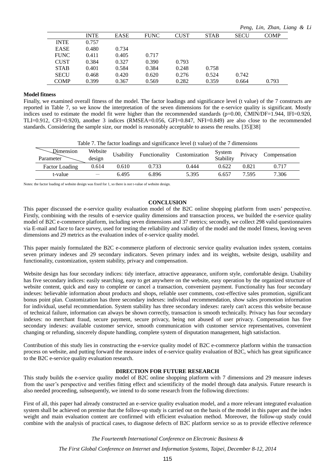|             |             |       |             |             |             |             | Peng, Lin, Zhan, Liang & Li |  |
|-------------|-------------|-------|-------------|-------------|-------------|-------------|-----------------------------|--|
|             | <b>INTE</b> | EASE  | <b>FUNC</b> | <b>CUST</b> | <b>STAB</b> | <b>SECU</b> | <b>COMP</b>                 |  |
| <b>INTE</b> | 0.757       |       |             |             |             |             |                             |  |
| <b>EASE</b> | 0.480       | 0.734 |             |             |             |             |                             |  |
| <b>FUNC</b> | 0.411       | 0.405 | 0.717       |             |             |             |                             |  |
| <b>CUST</b> | 0.384       | 0.327 | 0.390       | 0.793       |             |             |                             |  |
| <b>STAB</b> | 0.401       | 0.584 | 0.384       | 0.248       | 0.758       |             |                             |  |
| <b>SECU</b> | 0.468       | 0.420 | 0.620       | 0.276       | 0.524       | 0.742       |                             |  |
| <b>COMP</b> | 0.399       | 0.367 | 0.569       | 0.282       | 0.359       | 0.664       | 0.793                       |  |
|             |             |       |             |             |             |             |                             |  |

#### **Model fitness**

Finally, we examined overall fitness of the model. The factor loadings and significance level (t value) of the 7 constructs are reported in Table 7, so we know the interpretation of the seven dimensions for the e-service quality is significant. Mostly indices used to estimate the model fit were higher than the recommended standards (p=0.00, CMIN/DF=1.944, IFI=0.920, TLI=0.912, CFI=0.920), another 3 indices (RMSEA=0.056, GFI=0.847, NFI=0.849) are also close to the recommended standards. Considering the sample size, our model is reasonably acceptable to assess the results. [35][38]

| Table 7. The factor loadings and significance level (t value) of the 7 dimensions |  |
|-----------------------------------------------------------------------------------|--|
|-----------------------------------------------------------------------------------|--|

| Dimension<br>Parameter | Website<br>design        | Usability | Functionality | Customization | System<br>Stability | Privacy | Compensation |
|------------------------|--------------------------|-----------|---------------|---------------|---------------------|---------|--------------|
| <b>Factor Loading</b>  | 0.614                    | 0.610     | 0.733         | 0.444         | 0.622               | 0.821   | 0.717        |
| t-value                | $\overline{\phantom{a}}$ | 6.495     | 6.896         | 5.395         | 6.657               | 7.595   | 7.306        |

Notes: the factor loading of website design was fixed for 1, so there is not t-value of website design.

#### **CONCLUSION**

This paper discussed the e-service quality evaluation model of the B2C online shopping platform from users' perspective. Firstly, combining with the results of e-service quality dimensions and transaction process, we builded the e-service quality model of B2C e-commerce platform, including seven dimensions and 37 metrics; secondly, we collect 298 valid questionnaires via E-mail and face to face survey, used for testing the reliability and validity of the model and the model fitness, leaving seven dimensions and 29 metrics as the evaluation index of e-service quality model.

This paper mainly formulated the B2C e-commerce platform of electronic service quality evaluation index system, contains seven primary indexes and 29 secondary indicators. Seven primary index and its weights, website design, usability and functionality, customization, system stability, privacy and compensation.

Website design has four secondary indices: tidy interface, attractive appearance, uniform style, comfortable design. Usability has five secondary indices: easily searching, easy to get anywhere on the website, easy operation by the organized structure of website content, quick and easy to complete or cancel a transaction, convenient payment. Functionality has four secondary indexes: believable information about products and shops, reliable user comments, cost-effective sales promotion, significant bonus point plan. Customization has three secondary indexes: individual recommendation, show sales promotion information for individual, useful recommendation. System stability has three secondary indexes: rarely can't access this website because of technical failure, information can always be shown correctly, transaction is smooth technically. Privacy has four secondary indexes: no merchant fraud, secure payment, secure privacy, being not abused of user privacy. Compensation has five secondary indexes: available customer service, smooth communication with customer service representatives, convenient changing or refunding, sincerely dispute handling, complete system of disputation management, high satisfaction.

Contribution of this study lies in constructing the e-service quality model of B2C e-commerce platform within the transaction process on website, and putting forward the measure index of e-service quality evaluation of B2C, which has great significance to the B2C e-service quality evaluation research.

#### **DIRECTION FOR FUTURE RESEARCH**

This study builds the e-service quality model of B2C online shopping platform with 7 dimensions and 29 measure indexes from the user's perspective and verifies fitting effect and scientificity of the model through data analysis. Future research is also needed proceeding, subsequently, we intend to do some research from the following directions:

First of all, this paper had already constructed an e-service quality evaluation model, and a more relevant integrated evaluation system shall be achieved on premise that the follow-up study is carried out on the basis of the model in this paper and the index weight and main evaluation content are confirmed with efficient evaluation method. Moreover, the follow-up study could combine with the analysis of practical cases, to diagnose defects of B2C platform service so as to provide effective reference

*The Fourteenth International Conference on Electronic Business &*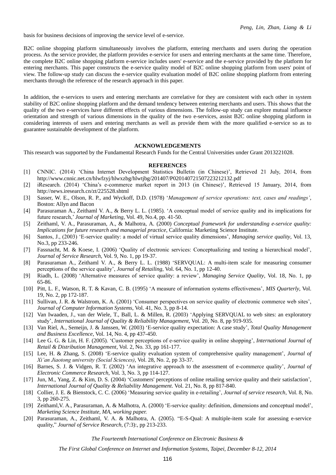basis for business decisions of improving the service level of e-service.

B2C online shopping platform simultaneously involves the platform, entering merchants and users during the operation process. As the service provider, the platform provides e-service for users and entering merchants at the same time. Therefore, the complete B2C online shopping platform e-service includes users' e-service and the e-service provided by the platform for entering merchants. This paper constructs the e-service quality model of B2C online shopping platform from users' point of view. The follow-up study can discuss the e-service quality evaluation model of B2C online shopping platform from entering merchants through the reference of the research approach in this paper.

In addition, the e-services to users and entering merchants are correlative for they are consistent with each other in system stability of B2C online shopping platform and the demand tendency between entering merchants and users. This shows that the quality of the two e-services have different effects of various dimensions. The follow-up study can explore mutual influence orientation and strength of various dimensions in the quality of the two e-services, assist B2C online shopping platform in considering interests of users and entering merchants as well as provide them with the more qualified e-service so as to guarantee sustainable development of the platform.

#### **ACKNOWLEDGEMENTS**

This research was supported by the Fundamental Research Funds for the Central Universities under Grant 2013221028.

#### **REFERENCES**

- [1] CNNIC. (2014) 'China Internet Development Statistics Bulletin (in Chinese)', Retrieved 21 July, 2014, from http://www.cnnic.net.cn/hlwfzyj/hlwxzbg/hlwtjbg/201407/P020140721507223212132.pdf
- [2] iResearch. (2014) 'China's e-commerce market report in 2013 (in Chinese)', Retrieved 15 January, 2014, from http://news.iresearch.cn/zt/225528.shtml
- [3] Sasser, W. E., Olson, R. P., and Wyckoff, D.D. (1978) '*Management of service operations: text, cases and readings'*, Boston: Allyn and Bacon
- [4] Parasuraman A., Zeithaml V. A., & Berry L. L. (1985). 'A conceptual model of service quality and its implications for future research,' *Journal of Marketing*, Vol. 49, No.4, pp. 41-50.
- [5] Zeithaml, V. A., Parasuraman, A., & Malhotra, A. (2000) *Conceptual framework for understanding e-service quality: Implications for future research and managerial practice*, California: Marketing Science Institute.
- [6] Santos, J., (2003) 'E-service quality: a model of virtual service quality dimensions', *Managing service quality*, Vol. 13, No.3, pp 233-246.
- [7] Fassnacht, M. & Koese, I. (2006) 'Quality of electronic services: Conceptualizing and testing a hierarchical model', *Journal of Service Research*, Vol. 9, No. 1, pp 19-37.
- [8] Parasuraman A., Zeithaml V. A., & Berry L. L. (1988) 'SERVQUAL: A multi-item scale for measuring consumer perceptions of the service quality', *Journal of Retailing*, Vol. 64, No. 1, pp 12-40.
- [9] Riadh, L. (2008) 'Alternative measures of service quality: a review', *Managing Service Quality*, Vol. 18, No. 1, pp 65-86.
- [10] Pitt, L. F., Watson, R. T. & Kavan, C. B. (1995) 'A measure of information systems effectiveness', *MIS Quarterly*, Vol. 19, No. 2, pp 172-187.
- [11] Sullivan, J. R. & Walstrom, K. A. (2001) 'Consumer perspectives on service quality of electronic commerce web sites', *Journal of Computer Information Systems*, Vol. 41, No. 3, pp 8-14.
- [12] Van Iwaaden, J., van der Wiele, T., Ball, L. & Millen, R. (2003) 'Applying SERVQUAL to web sites: an exploratory study', *International Journal of Quality & Reliability Management*, Vol. 20, No. 8, pp 919-935.
- [13] Van Riel, A., Semeijn, J. & Janssen, W. (2003) 'E-service quality expectation: A case study', *Total Quality Management and Business Excellence*, Vol. 14, No. 4, pp 437-450.
- [14] Lee G. G. & Lin, H. F. (2005). 'Customer perceptions of e-service quality in online shopping', *International Journal of Retail & Distribution Management*, Vol. 2, No. 33, pp 161-177.
- [15] Lee, H. & Zhang, S. (2008) 'E-service quality evaluation system of comprehensive quality management', *Journal of Xi'an Jiaotong university (Social Sciences)*, Vol. 28, No. 2, pp 33-37.
- [16] Barnes, S. J. & Vidgen, R. T. (2002) 'An integrative approach to the assessment of e-commerce quality', *Journal of Electronic Commerce Research*, Vol. 3, No. 3, pp 114-127.
- [17] Jun, M., Yang, Z. & Kim, D. S. (2004) 'Customers' perceptions of online retailing service quality and their satisfaction', *International Journal of Quality & Reliability Management*. Vol. 21, No. 8, pp 817-840.
- [18] Collier, J. E. & Bienstock, C. C. (2006) 'Measuring service quality in e-retailing', *Journal of service research*, Vol. 8, No. 3, pp 260-275.
- [19] Zeithaml,V. A., Parasuraman, A. & Malhotra, A. (2000) 'E-service quality: definition, dimensions and conceptual model', *Marketing Science Institute, MA, working paper.*
- [20] Parasuraman, A., Zeithaml, V. A. & Malhotra, A. (2005). "E-S-Qual: A multiple-item scale for assessing e-service quality," *Journal of Service Research*, (7:3):, pp 213-233.

*The Fourteenth International Conference on Electronic Business &*